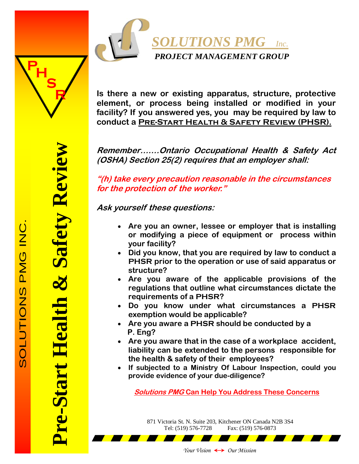

**Is there a new or existing apparatus, structure, protective element, or process being installed or modified in your facility? If you answered yes, you may be required by law to conduct a Pre-Start Health & Safety Review (PHSR).** 

**Remember…….Ontario Occupational Health & Safety Act (OSHA) Section 25(2) requires that an employer shall:** 

**"(h) take every precaution reasonable in the circumstances for the protection of the worker."** 

**Ask yourself these questions:** 

- **Are you an owner, lessee or employer that is installing or modifying a piece of equipment or process within your facility?**
- **Did you know, that you are required by law to conduct a PHSR prior to the operation or use of said apparatus or structure?**
- **Are you aware of the applicable provisions of the regulations that outline what circumstances dictate the requirements of a PHSR?**
- **Do you know under what circumstances a PHSR exemption would be applicable?**
- **Are you aware a PHSR should be conducted by a P. Eng?**
- **Are you aware that in the case of a workplace accident, liability can be extended to the persons responsible for the health & safety of their employees?**
- **If subjected to a Ministry Of Labour Inspection, could you provide evidence of your due-diligence?**

**Solutions PMG Can Help You Address These Concerns**

871 Victoria St. N. Suite 203, Kitchener ON Canada N2B 3S4 Tel: (519) 576-7728 Fax: (519) 576-0873

**Pre-Start Health & Safety Review** 

re-Start Health

& Safety Review

**S**

**R**

**P**H